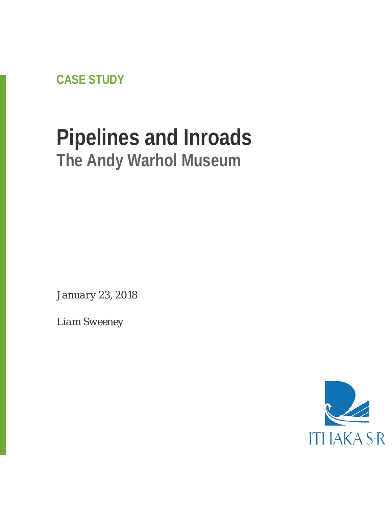**CASE STUDY**

# **Pipelines and Inroads The Andy Warhol Museum**

*January 23, 2018*

*Liam Sweeney*

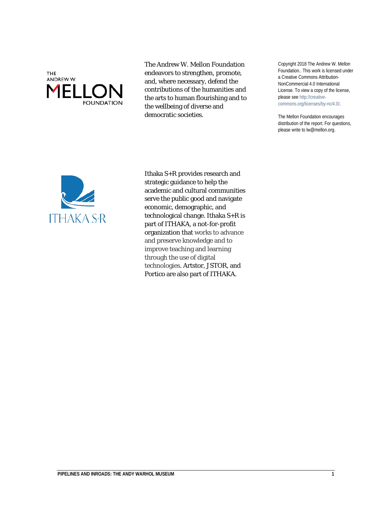

The Andrew W. Mellon Foundation endeavors to strengthen, promote, and, where necessary, defend the contributions of the humanities and the arts to human flourishing and to the wellbeing of diverse and democratic societies.

Copyright 2018 The Andrew W. Mellon Foundation.. This work is licensed under a Creative Commons Attribution-NonCommercial 4.0 International License. To view a copy of the license, please see http://creativecommons.org/licenses/by-nc/4.0/.

The Mellon Foundation encourages distribution of the report. For questions, please write to lw@mellon.org.



Ithaka S+R provides research and strategic guidance to help the academic and cultural communities serve the public good and navigate economic, demographic, and technological change. Ithaka S+R is part of ITHAKA, a not-for-profit organization that works to advance and preserve knowledge and to improve teaching and learning through the use of digital technologies. Artstor, JSTOR, and Portico are also part of ITHAKA.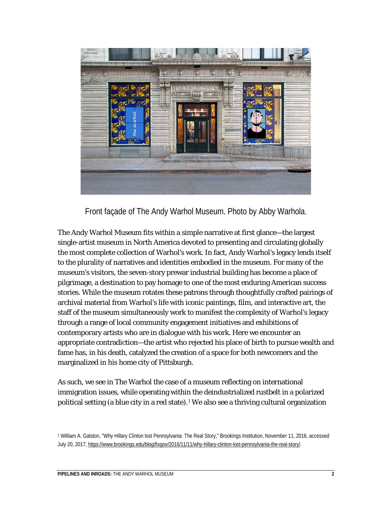

Front façade of The Andy Warhol Museum. Photo by Abby Warhola.

The Andy Warhol Museum fits within a simple narrative at first glance—the largest single-artist museum in North America devoted to presenting and circulating globally the most complete collection of Warhol's work. In fact, Andy Warhol's legacy lends itself to the plurality of narratives and identities embodied in the museum. For many of the museum's visitors, the seven-story prewar industrial building has become a place of pilgrimage, a destination to pay homage to one of the most enduring American success stories. While the museum rotates these patrons through thoughtfully crafted pairings of archival material from Warhol's life with iconic paintings, film, and interactive art, the staff of the museum simultaneously work to manifest the complexity of Warhol's legacy through a range of local community engagement initiatives and exhibitions of contemporary artists who are in dialogue with his work. Here we encounter an appropriate contradiction—the artist who rejected his place of birth to pursue wealth and fame has, in his death, catalyzed the creation of a space for both newcomers and the marginalized in his home city of Pittsburgh.

As such, we see in The Warhol the case of a museum reflecting on international immigration issues, while operating within the deindustrialized rustbelt in a polarized political setting (a blue city in a red state).[1](#page-2-0) We also see a thriving cultural organization

<span id="page-2-0"></span><sup>1</sup> William A. Galston, "Why Hillary Clinton lost Pennsylvania: The Real Story," Brookings Institution, November 11, 2016, accessed July 20, 2017, [https://www.brookings.edu/blog/fixgov/2016/11/11/why-hillary-clinton-lost-pennsylvania-the-real-story/.](https://www.brookings.edu/blog/fixgov/2016/11/11/why-hillary-clinton-lost-pennsylvania-the-real-story/)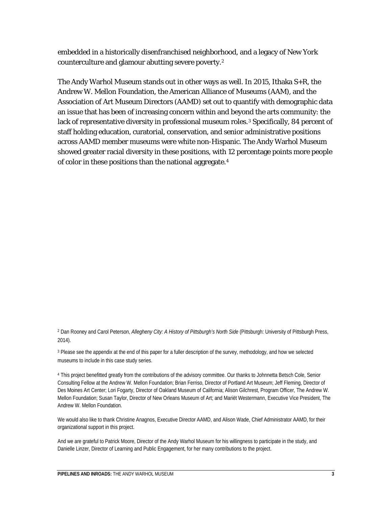embedded in a historically disenfranchised neighborhood, and a legacy of New York counterculture and glamour abutting severe poverty.[2](#page-3-0)

The Andy Warhol Museum stands out in other ways as well. In 2015, Ithaka S+R, the Andrew W. Mellon Foundation, the American Alliance of Museums (AAM), and the Association of Art Museum Directors (AAMD) set out to quantify with demographic data an issue that has been of increasing concern within and beyond the arts community: the lack of representative diversity in professional museum roles.<sup>[3](#page-3-1)</sup> Specifically, 84 percent of staff holding education, curatorial, conservation, and senior administrative positions across AAMD member museums were white non-Hispanic. The Andy Warhol Museum showed greater racial diversity in these positions, with 12 percentage points more people of color in these positions than the national aggregate.[4](#page-3-2)

<sup>2</sup> Dan Rooney and Carol Peterson, *Allegheny City: A History of Pittsburgh's North Side* (Pittsburgh: University of Pittsburgh Press, 2014).

<span id="page-3-0"></span>

<span id="page-3-1"></span><sup>3</sup> Please see the appendix at the end of this paper for a fuller description of the survey, methodology, and how we selected museums to include in this case study series.

<span id="page-3-2"></span><sup>4</sup> This project benefitted greatly from the contributions of the advisory committee. Our thanks to Johnnetta Betsch Cole, Senior Consulting Fellow at the Andrew W. Mellon Foundation; Brian Ferriso, Director of Portland Art Museum; Jeff Fleming, Director of Des Moines Art Center; Lori Fogarty, Director of Oakland Museum of California; Alison Gilchrest, Program Officer, The Andrew W. Mellon Foundation; Susan Taylor, Director of New Orleans Museum of Art; and Mariët Westermann, Executive Vice President, The Andrew W. Mellon Foundation.

We would also like to thank Christine Anagnos, Executive Director AAMD, and Alison Wade, Chief Administrator AAMD, for their organizational support in this project.

And we are grateful to Patrick Moore, Director of the Andy Warhol Museum for his willingness to participate in the study, and Danielle Linzer, Director of Learning and Public Engagement, for her many contributions to the project.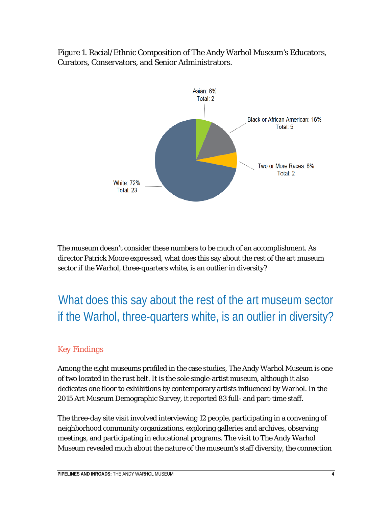Figure 1. Racial/Ethnic Composition of The Andy Warhol Museum's Educators, Curators, Conservators, and Senior Administrators.



The museum doesn't consider these numbers to be much of an accomplishment. As director Patrick Moore expressed, what does this say about the rest of the art museum sector if the Warhol, three-quarters white, is an outlier in diversity?

What does this say about the rest of the art museum sector if the Warhol, three-quarters white, is an outlier in diversity?

#### *Key Findings*

Among the eight museums profiled in the case studies, The Andy Warhol Museum is one of two located in the rust belt. It is the sole single-artist museum, although it also dedicates one floor to exhibitions by contemporary artists influenced by Warhol. In the 2015 Art Museum Demographic Survey, it reported 83 full- and part-time staff.

The three-day site visit involved interviewing 12 people, participating in a convening of neighborhood community organizations, exploring galleries and archives, observing meetings, and participating in educational programs. The visit to The Andy Warhol Museum revealed much about the nature of the museum's staff diversity, the connection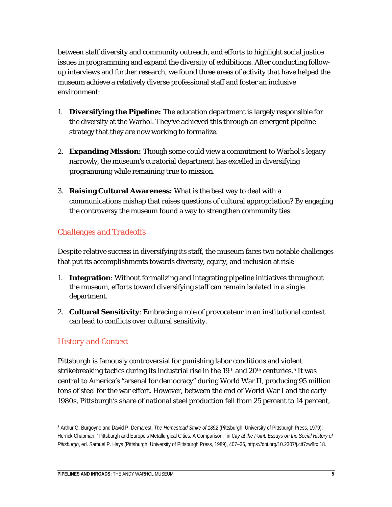between staff diversity and community outreach, and efforts to highlight social justice issues in programming and expand the diversity of exhibitions. After conducting followup interviews and further research, we found three areas of activity that have helped the museum achieve a relatively diverse professional staff and foster an inclusive environment:

- 1. **Diversifying the Pipeline:** The education department is largely responsible for the diversity at the Warhol. They've achieved this through an emergent pipeline strategy that they are now working to formalize.
- 2. **Expanding Mission:** Though some could view a commitment to Warhol's legacy narrowly, the museum's curatorial department has excelled in diversifying programming while remaining true to mission.
- 3. **Raising Cultural Awareness:** What is the best way to deal with a communications mishap that raises questions of cultural appropriation? By engaging the controversy the museum found a way to strengthen community ties.

#### *Challenges and Tradeoffs*

Despite relative success in diversifying its staff, the museum faces two notable challenges that put its accomplishments towards diversity, equity, and inclusion at risk:

- 1. **Integration**: Without formalizing and integrating pipeline initiatives throughout the museum, efforts toward diversifying staff can remain isolated in a single department.
- 2. **Cultural Sensitivity**: Embracing a role of provocateur in an institutional context can lead to conflicts over cultural sensitivity.

#### *History and Context*

Pittsburgh is famously controversial for punishing labor conditions and violent strikebreaking tactics during its industrial rise in the  $19<sup>th</sup>$  and  $20<sup>th</sup>$  centuries.<sup>[5](#page-5-0)</sup> It was central to America's "arsenal for democracy" during World War II, producing 95 million tons of steel for the war effort. However, between the end of World War I and the early 1980s, Pittsburgh's share of national steel production fell from 25 percent to 14 percent,

<span id="page-5-0"></span><sup>5</sup> Arthur G. Burgoyne and David P. Demarest, *The Homestead Strike of 1892* (Pittsburgh: University of Pittsburgh Press, 1979); Herrick Chapman, "Pittsburgh and Europe's Metallurgical Cities: A Comparison," in *City at the Point: Essays on the Social History of Pittsburgh*, ed. Samuel P. Hays (Pittsburgh: University of Pittsburgh Press, 1989), 407–36, [https://doi.org/10.2307/j.ctt7zw8rx.18.](https://doi.org/10.2307/j.ctt7zw8rx.18)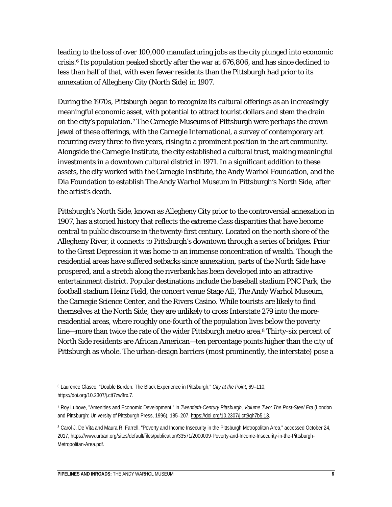leading to the loss of over 100,000 manufacturing jobs as the city plunged into economic crisis.[6](#page-6-0) Its population peaked shortly after the war at 676,806, and has since declined to less than half of that, with even fewer residents than the Pittsburgh had prior to its annexation of Allegheny City (North Side) in 1907.

During the 1970s, Pittsburgh began to recognize its cultural offerings as an increasingly meaningful economic asset, with potential to attract tourist dollars and stem the drain on the city's population.[7](#page-6-1) The Carnegie Museums of Pittsburgh were perhaps the crown jewel of these offerings, with the Carnegie International, a survey of contemporary art recurring every three to five years, rising to a prominent position in the art community. Alongside the Carnegie Institute, the city established a cultural trust, making meaningful investments in a downtown cultural district in 1971. In a significant addition to these assets, the city worked with the Carnegie Institute, the Andy Warhol Foundation, and the Dia Foundation to establish The Andy Warhol Museum in Pittsburgh's North Side, after the artist's death.

Pittsburgh's North Side, known as Allegheny City prior to the controversial annexation in 1907, has a storied history that reflects the extreme class disparities that have become central to public discourse in the twenty-first century. Located on the north shore of the Allegheny River, it connects to Pittsburgh's downtown through a series of bridges. Prior to the Great Depression it was home to an immense concentration of wealth. Though the residential areas have suffered setbacks since annexation, parts of the North Side have prospered, and a stretch along the riverbank has been developed into an attractive entertainment district. Popular destinations include the baseball stadium PNC Park, the football stadium Heinz Field, the concert venue Stage AE, The Andy Warhol Museum, the Carnegie Science Center, and the Rivers Casino. While tourists are likely to find themselves at the North Side, they are unlikely to cross Interstate 279 into the moreresidential areas, where roughly one-fourth of the population lives below the poverty line—more than twice the rate of the wider Pittsburgh metro area.<sup>[8](#page-6-2)</sup> Thirty-six percent of North Side residents are African American—ten percentage points higher than the city of Pittsburgh as whole. The urban-design barriers (most prominently, the interstate) pose a

<span id="page-6-0"></span><sup>6</sup> Laurence Glasco, "Double Burden: The Black Experience in Pittsburgh," *City at the Point*, 69–110, [https://doi.org/10.2307/j.ctt7zw8rx.7.](https://doi.org/10.2307/j.ctt7zw8rx.7)

<span id="page-6-1"></span><sup>7</sup> Roy Lubove, "Amenities and Economic Development," in *Twentieth-Century Pittsburgh, Volume Two: The Post-Steel Era* (London and Pittsburgh: University of Pittsburgh Press, 1996), 185-207[, https://doi.org/10.2307/j.ctt9qh7b5.13.](https://doi.org/10.2307/j.ctt9qh7b5.13)

<span id="page-6-2"></span><sup>&</sup>lt;sup>8</sup> Carol J. De Vita and Maura R. Farrell, "Poverty and Income Insecurity in the Pittsburgh Metropolitan Area," accessed October 24, 2017[, https://www.urban.org/sites/default/files/publication/33571/2000009-Poverty-and-Income-Insecurity-in-the-Pittsburgh-](https://www.urban.org/sites/default/files/publication/33571/2000009-Poverty-and-Income-Insecurity-in-the-Pittsburgh-Metropolitan-Area.pdf)[Metropolitan-Area.pdf.](https://www.urban.org/sites/default/files/publication/33571/2000009-Poverty-and-Income-Insecurity-in-the-Pittsburgh-Metropolitan-Area.pdf)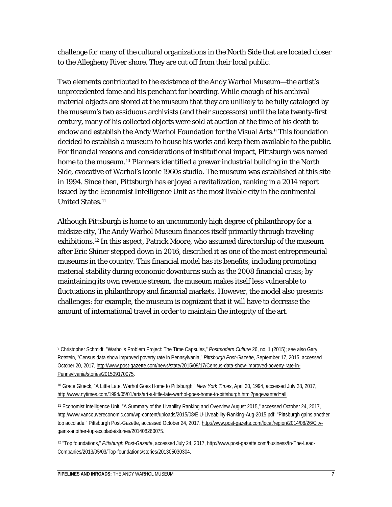challenge for many of the cultural organizations in the North Side that are located closer to the Allegheny River shore. They are cut off from their local public.

Two elements contributed to the existence of the Andy Warhol Museum—the artist's unprecedented fame and his penchant for hoarding. While enough of his archival material objects are stored at the museum that they are unlikely to be fully cataloged by the museum's two assiduous archivists (and their successors) until the late twenty-first century, many of his collected objects were sold at auction at the time of his death to endow and establish the Andy Warhol Foundation for the Visual Arts.<sup>[9](#page-7-0)</sup> This foundation decided to establish a museum to house his works and keep them available to the public. For financial reasons and considerations of institutional impact, Pittsburgh was named home to the museum.<sup>[10](#page-7-1)</sup> Planners identified a prewar industrial building in the North Side, evocative of Warhol's iconic 1960s studio. The museum was established at this site in 1994. Since then, Pittsburgh has enjoyed a revitalization, ranking in a 2014 report issued by the Economist Intelligence Unit as the most livable city in the continental United States.[11](#page-7-2)

Although Pittsburgh is home to an uncommonly high degree of philanthropy for a midsize city, The Andy Warhol Museum finances itself primarily through traveling exhibitions.[12](#page-7-3) In this aspect, Patrick Moore, who assumed directorship of the museum after Eric Shiner stepped down in 2016, described it as one of the most entrepreneurial museums in the country. This financial model has its benefits, including promoting material stability during economic downturns such as the 2008 financial crisis; by maintaining its own revenue stream, the museum makes itself less vulnerable to fluctuations in philanthropy and financial markets. However, the model also presents challenges: for example, the museum is cognizant that it will have to decrease the amount of international travel in order to maintain the integrity of the art.

<span id="page-7-0"></span><sup>9</sup> Christopher Schmidt. "Warhol's Problem Project: The Time Capsules," *Postmodern Culture* 26, no. 1 (2015); see also Gary Rotstein, "Census data show improved poverty rate in Pennsylvania," *Pittsburgh Post-Gazette*, September 17, 2015, accessed October 20, 2017, [http://www.post-gazette.com/news/state/2015/09/17/Census-data-show-improved-poverty-rate-in-](http://www.post-gazette.com/news/state/2015/09/17/Census-data-show-improved-poverty-rate-in-Pennsylvania/stories/201509170075)[Pennsylvania/stories/201509170075.](http://www.post-gazette.com/news/state/2015/09/17/Census-data-show-improved-poverty-rate-in-Pennsylvania/stories/201509170075)

<span id="page-7-1"></span><sup>10</sup> Grace Glueck, "A Little Late, Warhol Goes Home to Pittsburgh," *New York Times*, April 30, 1994, accessed July 28, 2017, [http://www.nytimes.com/1994/05/01/arts/art-a-little-late-warhol-goes-home-to-pittsburgh.html?pagewanted=all.](http://www.nytimes.com/1994/05/01/arts/art-a-little-late-warhol-goes-home-to-pittsburgh.html?pagewanted=all)

<span id="page-7-2"></span><sup>11</sup> Economist Intelligence Unit, "A Summary of the Livability Ranking and Overview August 2015," accessed October 24, 2017, http://www.vancouvereconomic.com/wp-content/uploads/2015/08/EIU-Liveability-Ranking-Aug-2015.pdf; "Pittsburgh gains another top accolade," Pittsburgh Post-Gazette, accessed October 24, 2017[, http://www.post-gazette.com/local/region/2014/08/26/City](http://www.post-gazette.com/local/region/2014/08/26/City-gains-another-top-accolade/stories/201408260075)[gains-another-top-accolade/stories/201408260075.](http://www.post-gazette.com/local/region/2014/08/26/City-gains-another-top-accolade/stories/201408260075)

<span id="page-7-3"></span><sup>12</sup> "Top foundations," *Pittsburgh Post-Gazette*, accessed July 24, 2017, http://www.post-gazette.com/business/In-The-Lead-Companies/2013/05/03/Top-foundations/stories/201305030304.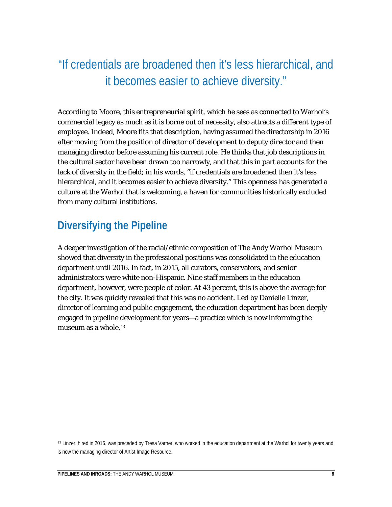# "If credentials are broadened then it's less hierarchical, and it becomes easier to achieve diversity."

According to Moore, this entrepreneurial spirit, which he sees as connected to Warhol's commercial legacy as much as it is borne out of necessity, also attracts a different type of employee. Indeed, Moore fits that description, having assumed the directorship in 2016 after moving from the position of director of development to deputy director and then managing director before assuming his current role. He thinks that job descriptions in the cultural sector have been drawn too narrowly, and that this in part accounts for the lack of diversity in the field; in his words, "if credentials are broadened then it's less hierarchical, and it becomes easier to achieve diversity." This openness has generated a culture at the Warhol that is welcoming, a haven for communities historically excluded from many cultural institutions.

# **Diversifying the Pipeline**

A deeper investigation of the racial/ethnic composition of The Andy Warhol Museum showed that diversity in the professional positions was consolidated in the education department until 2016. In fact, in 2015, all curators, conservators, and senior administrators were white non-Hispanic. Nine staff members in the education department, however, were people of color. At 43 percent, this is above the average for the city. It was quickly revealed that this was no accident. Led by Danielle Linzer, director of learning and public engagement, the education department has been deeply engaged in pipeline development for years—a practice which is now informing the museum as a whole.<sup>[13](#page-8-0)</sup>

<span id="page-8-0"></span><sup>&</sup>lt;sup>13</sup> Linzer, hired in 2016, was preceded by Tresa Varner, who worked in the education department at the Warhol for twenty years and is now the managing director of Artist Image Resource.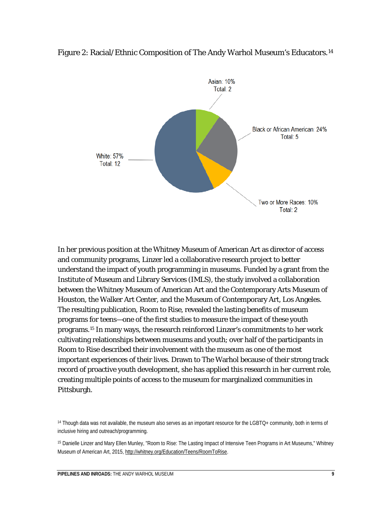

#### Figure 2: Racial/Ethnic Composition of The Andy Warhol Museum's Educators.<sup>[14](#page-9-0)</sup>

In her previous position at the Whitney Museum of American Art as director of access and community programs, Linzer led a collaborative research project to better understand the impact of youth programming in museums. Funded by a grant from the Institute of Museum and Library Services (IMLS), the study involved a collaboration between the Whitney Museum of American Art and the Contemporary Arts Museum of Houston, the Walker Art Center, and the Museum of Contemporary Art, Los Angeles. The resulting publication, *Room to Rise*, revealed the lasting benefits of museum programs for teens—one of the first studies to measure the impact of these youth programs.[15](#page-9-1) In many ways, the research reinforced Linzer's commitments to her work cultivating relationships between museums and youth; over half of the participants in *Room to Rise* described their involvement with the museum as one of the most important experiences of their lives. Drawn to The Warhol because of their strong track record of proactive youth development, she has applied this research in her current role, creating multiple points of access to the museum for marginalized communities in Pittsburgh.

<span id="page-9-0"></span><sup>&</sup>lt;sup>14</sup> Though data was not available, the museum also serves as an important resource for the LGBTQ+ community, both in terms of inclusive hiring and outreach/programming.

<span id="page-9-1"></span><sup>15</sup> Danielle Linzer and Mary Ellen Munley, "Room to Rise: The Lasting Impact of Intensive Teen Programs in Art Museums," Whitney Museum of American Art, 2015, [http://whitney.org/Education/Teens/RoomToRise.](http://whitney.org/Education/Teens/RoomToRise)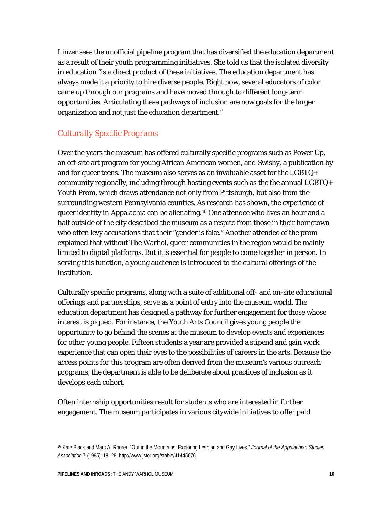Linzer sees the unofficial pipeline program that has diversified the education department as a result of their youth programming initiatives. She told us that the isolated diversity in education "is a direct product of these initiatives. The education department has always made it a priority to hire diverse people. Right now, several educators of color came up through our programs and have moved through to different long-term opportunities. Articulating these pathways of inclusion are now goals for the larger organization and not just the education department."

#### *Culturally Specific Programs*

Over the years the museum has offered culturally specific programs such as Power Up, an off-site art program for young African American women, and Swishy, a publication by and for queer teens. The museum also serves as an invaluable asset for the LGBTQ+ community regionally, including through hosting events such as the the annual LGBTQ+ Youth Prom, which draws attendance not only from Pittsburgh, but also from the surrounding western Pennsylvania counties. As research has shown, the experience of queer identity in Appalachia can be alienating.[16](#page-10-0) One attendee who lives an hour and a half outside of the city described the museum as a respite from those in their hometown who often levy accusations that their "gender is fake." Another attendee of the prom explained that without The Warhol, queer communities in the region would be mainly limited to digital platforms. But it is essential for people to come together in person. In serving this function, a young audience is introduced to the cultural offerings of the institution.

Culturally specific programs, along with a suite of additional off- and on-site educational offerings and partnerships, serve as a point of entry into the museum world. The education department has designed a pathway for further engagement for those whose interest is piqued. For instance, the *Youth Arts Council* gives young people the opportunity to go behind the scenes at the museum to develop events and experiences for other young people. Fifteen students a year are provided a stipend and gain work experience that can open their eyes to the possibilities of careers in the arts. Because the access points for this program are often derived from the museum's various outreach programs, the department is able to be deliberate about practices of inclusion as it develops each cohort.

Often internship opportunities result for students who are interested in further engagement. The museum participates in various citywide initiatives to offer paid

<span id="page-10-0"></span><sup>16</sup> Kate Black and Marc A. Rhorer, "Out in the Mountains: Exploring Lesbian and Gay Lives," *Journal of the Appalachian Studies Association* 7 (1995): 18–28, [http://www.jstor.org/stable/41445676.](http://www.jstor.org/stable/41445676)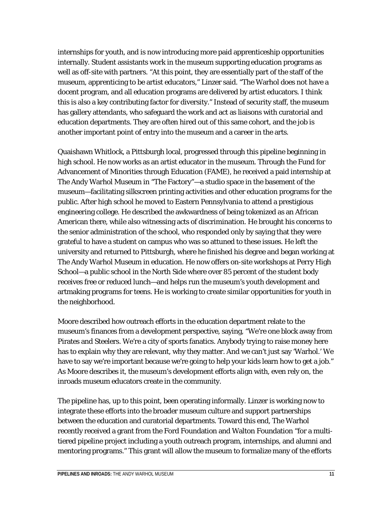internships for youth, and is now introducing more paid apprenticeship opportunities internally. Student assistants work in the museum supporting education programs as well as off-site with partners. "At this point, they are essentially part of the staff of the museum, apprenticing to be artist educators," Linzer said. "The Warhol does not have a docent program, and all education programs are delivered by artist educators. I think this is also a key contributing factor for diversity." Instead of security staff, the museum has gallery attendants, who safeguard the work and act as liaisons with curatorial and education departments. They are often hired out of this same cohort, and the job is another important point of entry into the museum and a career in the arts.

Quaishawn Whitlock, a Pittsburgh local, progressed through this pipeline beginning in high school. He now works as an artist educator in the museum. Through the Fund for Advancement of Minorities through Education (FAME), he received a paid internship at The Andy Warhol Museum in "The Factory"—a studio space in the basement of the museum—facilitating silkscreen printing activities and other education programs for the public. After high school he moved to Eastern Pennsylvania to attend a prestigious engineering college. He described the awkwardness of being tokenized as an African American there, while also witnessing acts of discrimination. He brought his concerns to the senior administration of the school, who responded only by saying that they were grateful to have a student on campus who was so attuned to these issues. He left the university and returned to Pittsburgh, where he finished his degree and began working at The Andy Warhol Museum in education. He now offers on-site workshops at Perry High School—a public school in the North Side where over 85 percent of the student body receives free or reduced lunch—and helps run the museum's youth development and artmaking programs for teens. He is working to create similar opportunities for youth in the neighborhood.

Moore described how outreach efforts in the education department relate to the museum's finances from a development perspective, saying, "We're one block away from Pirates and Steelers. We're a city of sports fanatics. Anybody trying to raise money here has to explain why they are relevant, why they matter. And we can't just say 'Warhol.' We have to say we're important because we're going to help your kids learn how to get a job." As Moore describes it, the museum's development efforts align with, even rely on, the inroads museum educators create in the community.

The pipeline has, up to this point, been operating informally. Linzer is working now to integrate these efforts into the broader museum culture and support partnerships between the education and curatorial departments. Toward this end, The Warhol recently received a grant from the Ford Foundation and Walton Foundation "for a multitiered pipeline project including a youth outreach program, internships, and alumni and mentoring programs." This grant will allow the museum to formalize many of the efforts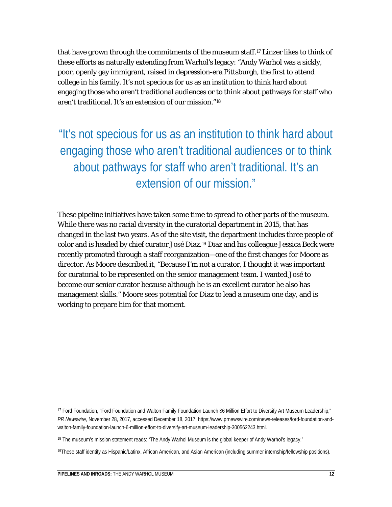that have grown through the commitments of the museum staff.<sup>[17](#page-12-0)</sup> Linzer likes to think of these efforts as naturally extending from Warhol's legacy: "Andy Warhol was a sickly, poor, openly gay immigrant, raised in depression-era Pittsburgh, the first to attend college in his family. It's not specious for us as an institution to think hard about engaging those who aren't traditional audiences or to think about pathways for staff who aren't traditional. It's an extension of our mission."[18](#page-12-1)

"It's not specious for us as an institution to think hard about engaging those who aren't traditional audiences or to think about pathways for staff who aren't traditional. It's an extension of our mission."

These pipeline initiatives have taken some time to spread to other parts of the museum. While there was no racial diversity in the curatorial department in 2015, that has changed in the last two years. As of the site visit, the department includes three people of color and is headed by chief curator José Diaz.[19](#page-12-2) Diaz and his colleague Jessica Beck were recently promoted through a staff reorganization—one of the first changes for Moore as director. As Moore described it, "Because I'm not a curator, I thought it was important for curatorial to be represented on the senior management team. I wanted José to become our senior curator because although he is an excellent curator he also has management skills." Moore sees potential for Diaz to lead a museum one day, and is working to prepare him for that moment.

<span id="page-12-0"></span><sup>17</sup> Ford Foundation, "Ford Foundation and Walton Family Foundation Launch \$6 Million Effort to Diversify Art Museum Leadership," *PR Newswire*, November 28, 2017, accessed December 18, 2017[, https://www.prnewswire.com/news-releases/ford-foundation-and](https://www.prnewswire.com/news-releases/ford-foundation-and-walton-family-foundation-launch-6-million-effort-to-diversify-art-museum-leadership-300562243.html)[walton-family-foundation-launch-6-million-effort-to-diversify-art-museum-leadership-300562243.html.](https://www.prnewswire.com/news-releases/ford-foundation-and-walton-family-foundation-launch-6-million-effort-to-diversify-art-museum-leadership-300562243.html)

<span id="page-12-1"></span><sup>18</sup> The museum's mission statement reads: "The Andy Warhol Museum is the global keeper of Andy Warhol's legacy."

<span id="page-12-2"></span>19These staff identify as Hispanic/Latinx, African American, and Asian American (including summer internship/fellowship positions).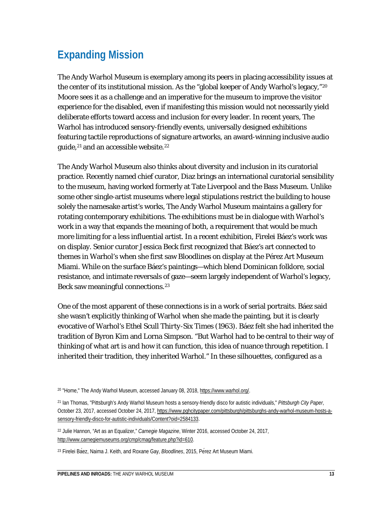# **Expanding Mission**

The Andy Warhol Museum is exemplary among its peers in placing accessibility issues at the center of its institutional mission. As the "global keeper of Andy Warhol's legacy,"[20](#page-13-0) Moore sees it as a challenge and an imperative for the museum to improve the visitor experience for the disabled, even if manifesting this mission would not necessarily yield deliberate efforts toward access and inclusion for every leader. In recent years, The Warhol has introduced sensory-friendly events, universally designed exhibitions featuring tactile reproductions of signature artworks, an award-winning inclusive audio guide,<sup>[21](#page-13-1)</sup> and an accessible website.<sup>[22](#page-13-2)</sup>

The Andy Warhol Museum also thinks about diversity and inclusion in its curatorial practice. Recently named chief curator, Diaz brings an international curatorial sensibility to the museum, having worked formerly at Tate Liverpool and the Bass Museum. Unlike some other single-artist museums where legal stipulations restrict the building to house solely the namesake artist's works, The Andy Warhol Museum maintains a gallery for rotating contemporary exhibitions. The exhibitions must be in dialogue with Warhol's work in a way that expands the meaning of both, a requirement that would be much more limiting for a less influential artist. In a recent exhibition, Firelei Báez's work was on display. Senior curator Jessica Beck first recognized that Báez's art connected to themes in Warhol's when she first saw *Bloodlines* on display at the Pérez Art Museum Miami. While on the surface Báez's paintings—which blend Dominican folklore, social resistance, and intimate reversals of gaze—seem largely independent of Warhol's legacy, Beck saw meaningful connections.<sup>[23](#page-13-3)</sup>

One of the most apparent of these connections is in a work of serial portraits. Báez said she wasn't explicitly thinking of Warhol when she made the painting, but it is clearly evocative of Warhol's *Ethel Scull Thirty-Six Times* (1963). Báez felt she had inherited the tradition of Byron Kim and Lorna Simpson. "But Warhol had to be central to their way of thinking of what art is and how it can function, this idea of nuance through repetition. I inherited their tradition, they inherited Warhol." In these silhouettes, configured as a

<span id="page-13-0"></span><sup>20</sup> "Home," The Andy Warhol Museum, accessed January 08, 2018[, https://www.warhol.org/.](https://www.warhol.org/)

<span id="page-13-1"></span><sup>21</sup> Ian Thomas, "Pittsburgh's Andy Warhol Museum hosts a sensory-friendly disco for autistic individuals," *Pittsburgh City Paper*, October 23, 2017, accessed October 24, 2017[, https://www.pghcitypaper.com/pittsburgh/pittsburghs-andy-warhol-museum-hosts-a](https://www.pghcitypaper.com/pittsburgh/pittsburghs-andy-warhol-museum-hosts-a-sensory-friendly-disco-for-autistic-individuals/Content?oid=2584133)[sensory-friendly-disco-for-autistic-individuals/Content?oid=2584133.](https://www.pghcitypaper.com/pittsburgh/pittsburghs-andy-warhol-museum-hosts-a-sensory-friendly-disco-for-autistic-individuals/Content?oid=2584133)

<span id="page-13-2"></span><sup>22</sup> Julie Hannon, "Art as an Equalizer," *Carnegie Magazine*, Winter 2016, accessed October 24, 2017, [http://www.carnegiemuseums.org/cmp/cmag/feature.php?id=610.](http://www.carnegiemuseums.org/cmp/cmag/feature.php?id=610)

<span id="page-13-3"></span><sup>23</sup> Firelei Báez, Naima J. Keith, and Roxane Gay, *Bloodlines*, 2015, Pérez Art Museum Miami.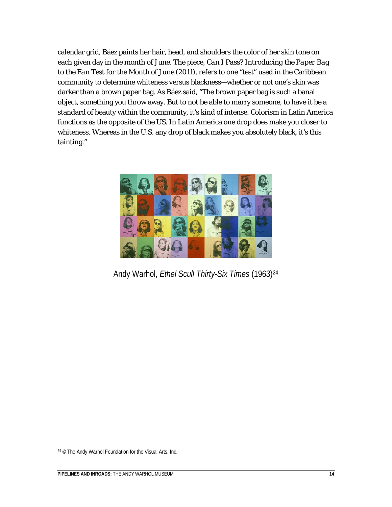calendar grid, Báez paints her hair, head, and shoulders the color of her skin tone on each given day in the month of June. The piece, *Can I Pass? Introducing the Paper Bag to the Fan Test for the Month of June* (2011), refers to one "test" used in the Caribbean community to determine whiteness versus blackness—whether or not one's skin was darker than a brown paper bag. As Báez said, "The brown paper bag is such a banal object, something you throw away. But to not be able to marry someone, to have it be a standard of beauty within the community, it's kind of intense. Colorism in Latin America functions as the opposite of the US. In Latin America one drop does make you closer to whiteness. Whereas in the U.S. any drop of black makes you absolutely black, it's this tainting."



Andy Warhol, *Ethel Scull Thirty-Six Times* (1963[\)24](#page-14-0)

<span id="page-14-0"></span><sup>24</sup> © The Andy Warhol Foundation for the Visual Arts, Inc.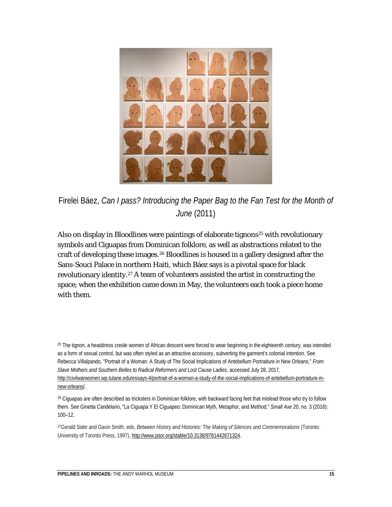

Firelei Báez, *Can I pass? Introducing the Paper Bag to the Fan Test for the Month of June* (2011)

Also on display in *Bloodlines* were paintings of elaborate tignons<sup>25</sup> with revolutionary symbols and Ciguapas from Dominican folklore, as well as abstractions related to the craft of developing these images.[26](#page-15-1) *Bloodlines* is housed in a gallery designed after the Sans-Souci Palace in northern Haiti, which Báez says is a pivotal space for black revolutionary identity.<sup>[27](#page-15-2)</sup> A team of volunteers assisted the artist in constructing the space; when the exhibition came down in May, the volunteers each took a piece home with them.

<span id="page-15-0"></span><sup>&</sup>lt;sup>25</sup> The tignon, a headdress creole women of African descent were forced to wear beginning in the eighteenth century, was intended as a form of sexual control, but was often styled as an attractive accessory, subverting the garment's colonial intention. See Rebecca Villalpando, "Portrait of a Woman: A Study of The Social Implications of Antebellum Portraiture in New Orleans," *From Slave Mothers and Southern Belles to Radical Reformers and Lost Cause Ladies*, accessed July 28, 2017, [http://civilwarwomen.wp.tulane.edu/essays-4/portrait-of-a-woman-a-study-of-the-social-implications-of-antebellum-portraiture-in](http://civilwarwomen.wp.tulane.edu/essays-4/portrait-of-a-woman-a-study-of-the-social-implications-of-antebellum-portraiture-in-new-orleans/)[new-orleans/.](http://civilwarwomen.wp.tulane.edu/essays-4/portrait-of-a-woman-a-study-of-the-social-implications-of-antebellum-portraiture-in-new-orleans/)

<span id="page-15-1"></span><sup>26</sup> Ciguapas are often described as tricksters in Dominican folklore, with backward facing feet that mislead those who try to follow them. See Ginetta Candelario, "La Ciguapa Y El Ciguapeo: Dominican Myth, Metaphor, and Method," *Small Axe* 20, no. 3 (2016): 100–12.

<span id="page-15-2"></span><sup>27</sup>Gerald Sider and Gavin Smith, eds, *Between History and Histories: The Making of Silences and Commemorations* (Toronto: University of Toronto Press, 1997), [http://www.jstor.org/stable/10.3138/9781442671324.](http://www.jstor.org/stable/10.3138/9781442671324)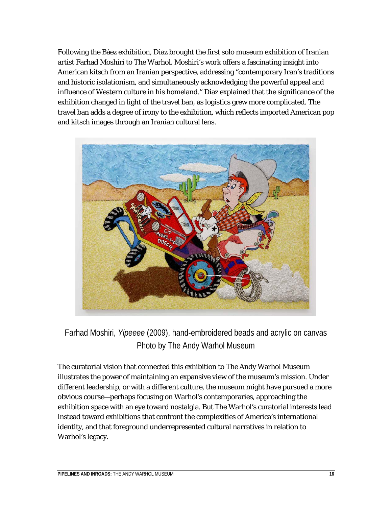Following the Báez exhibition, Diaz brought the first solo museum exhibition of Iranian artist Farhad Moshiri to The Warhol. Moshiri's work offers a fascinating insight into American kitsch from an Iranian perspective, addressing "contemporary Iran's traditions and historic isolationism, and simultaneously acknowledging the powerful appeal and influence of Western culture in his homeland." Diaz explained that the significance of the exhibition changed in light of the travel ban, as logistics grew more complicated. The travel ban adds a degree of irony to the exhibition, which reflects imported American pop and kitsch images through an Iranian cultural lens.



Farhad Moshiri, *Yipeeee* (2009), hand-embroidered beads and acrylic on canvas Photo by The Andy Warhol Museum

The curatorial vision that connected this exhibition to The Andy Warhol Museum illustrates the power of maintaining an expansive view of the museum's mission. Under different leadership, or with a different culture, the museum might have pursued a more obvious course—perhaps focusing on Warhol's contemporaries, approaching the exhibition space with an eye toward nostalgia. But The Warhol's curatorial interests lead instead toward exhibitions that confront the complexities of America's international identity, and that foreground underrepresented cultural narratives in relation to Warhol's legacy.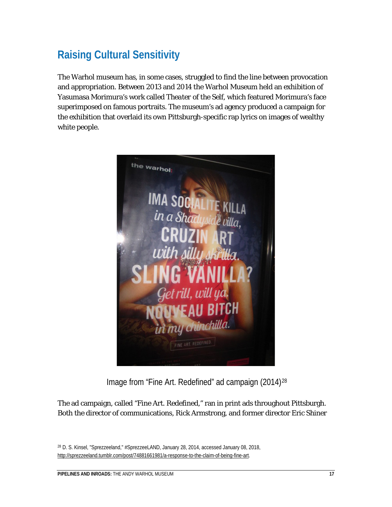# **Raising Cultural Sensitivity**

The Warhol museum has, in some cases, struggled to find the line between provocation and appropriation. Between 2013 and 2014 the Warhol Museum held an exhibition of Yasumasa Morimura's work called *Theater of the Self,* which featured Morimura's face superimposed on famous portraits. The museum's ad agency produced a campaign for the exhibition that overlaid its own Pittsburgh-specific rap lyrics on images of wealthy white people.



Image from "Fine Art. Redefined" ad campaign (2014)[28](#page-17-0)

The ad campaign, called "Fine Art. Redefined," ran in print ads throughout Pittsburgh. Both the director of communications, Rick Armstrong, and former director Eric Shiner

<span id="page-17-0"></span><sup>28</sup> D. S. Kinsel, "Sprezzeeland," #SprezzeeLAND, January 28, 2014, accessed January 08, 2018, [http://sprezzeeland.tumblr.com/post/74881661981/a-response-to-the-claim-of-being-fine-art.](http://sprezzeeland.tumblr.com/post/74881661981/a-response-to-the-claim-of-being-fine-art)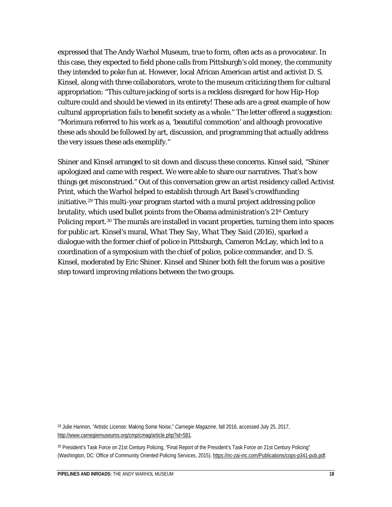expressed that The Andy Warhol Museum, true to form, often acts as a provocateur. In this case, they expected to field phone calls from Pittsburgh's old money, the community they intended to poke fun at. However, local African American artist and activist D. S. Kinsel, along with three collaborators, wrote to the museum criticizing them for cultural appropriation: "This culture jacking of sorts is a reckless disregard for how Hip-Hop culture could and should be viewed in its entirety! These ads are a great example of how cultural appropriation fails to benefit society as a whole." The letter offered a suggestion: "Morimura referred to his work as a, 'beautiful commotion' and although provocative these ads should be followed by art, discussion, and programming that actually address the very issues these ads exemplify."

Shiner and Kinsel arranged to sit down and discuss these concerns. Kinsel said, "Shiner apologized and came with respect. We were able to share our narratives. That's how things get misconstrued." Out of this conversation grew an artist residency called Activist Print, which the Warhol helped to establish through Art Basel's crowdfunding initiative.[29](#page-18-0) This multi-year program started with a mural project addressing police brutality, which used bullet points from the Obama administration's *21st Century Policing* report.<sup>[30](#page-18-1)</sup> The murals are installed in vacant properties, turning them into spaces for public art. Kinsel's mural, *What They Say, What They Said* (2016), sparked a dialogue with the former chief of police in Pittsburgh, Cameron McLay, which led to a coordination of a symposium with the chief of police, police commander, and D. S. Kinsel, moderated by Eric Shiner. Kinsel and Shiner both felt the forum was a positive step toward improving relations between the two groups.

<span id="page-18-0"></span><sup>29</sup> Julie Hannon, "Artistic License: Making Some Noise," *Carnegie Magazine*, fall 2016, accessed July 25, 2017, [http://www.carnegiemuseums.org/cmp/cmag/article.php?id=581.](http://www.carnegiemuseums.org/cmp/cmag/article.php?id=581)

<span id="page-18-1"></span><sup>30</sup> President's Task Force on 21st Century Policing, "Final Report of the President's Task Force on 21st Century Policing" (Washington, DC: Office of Community Oriented Policing Services, 2015), [https://ric-zai-inc.com/Publications/cops-p341-pub.pdf.](https://ric-zai-inc.com/Publications/cops-p341-pub.pdf)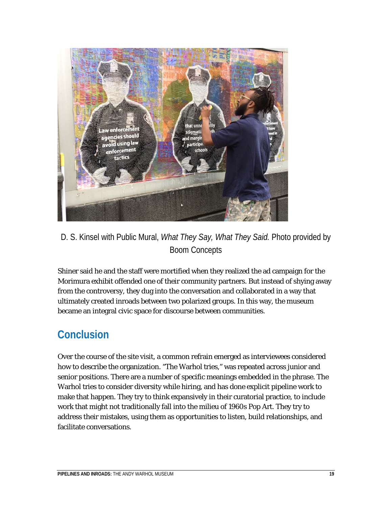

### D. S. Kinsel with Public Mural, *What They Say, What They Said.* Photo provided by Boom Concepts

Shiner said he and the staff were mortified when they realized the ad campaign for the Morimura exhibit offended one of their community partners. But instead of shying away from the controversy, they dug into the conversation and collaborated in a way that ultimately created inroads between two polarized groups. In this way, the museum became an integral civic space for discourse between communities.

# **Conclusion**

Over the course of the site visit, a common refrain emerged as interviewees considered how to describe the organization. "The Warhol tries," was repeated across junior and senior positions. There are a number of specific meanings embedded in the phrase. The Warhol tries to consider diversity while hiring, and has done explicit pipeline work to make that happen. They try to think expansively in their curatorial practice, to include work that might not traditionally fall into the milieu of 1960s Pop Art. They try to address their mistakes, using them as opportunities to listen, build relationships, and facilitate conversations.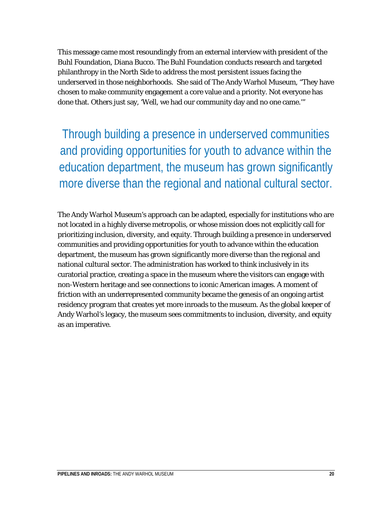This message came most resoundingly from an external interview with president of the Buhl Foundation, Diana Bucco. The Buhl Foundation conducts research and targeted philanthropy in the North Side to address the most persistent issues facing the underserved in those neighborhoods. She said of The Andy Warhol Museum, "They have chosen to make community engagement a core value and a priority. Not everyone has done that. Others just say, 'Well, we had our community day and no one came.'"

Through building a presence in underserved communities and providing opportunities for youth to advance within the education department, the museum has grown significantly more diverse than the regional and national cultural sector.

The Andy Warhol Museum's approach can be adapted, especially for institutions who are not located in a highly diverse metropolis, or whose mission does not explicitly call for prioritizing inclusion, diversity, and equity. Through building a presence in underserved communities and providing opportunities for youth to advance within the education department, the museum has grown significantly more diverse than the regional and national cultural sector. The administration has worked to think inclusively in its curatorial practice, creating a space in the museum where the visitors can engage with non-Western heritage and see connections to iconic American images. A moment of friction with an underrepresented community became the genesis of an ongoing artist residency program that creates yet more inroads to the museum. As the global keeper of Andy Warhol's legacy, the museum sees commitments to inclusion, diversity, and equity as an imperative.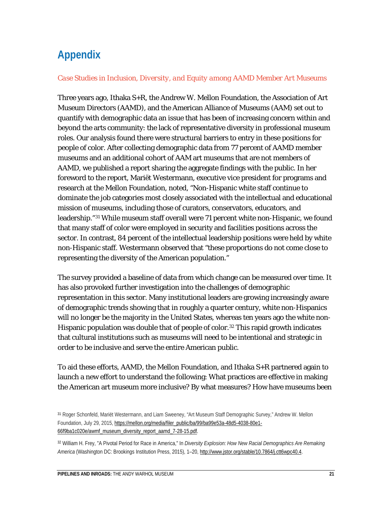# **Appendix**

#### *Case Studies in Inclusion, Diversity, and Equity among AAMD Member Art Museums*

Three years ago, Ithaka S+R, the Andrew W. Mellon Foundation, the Association of Art Museum Directors (AAMD), and the American Alliance of Museums (AAM) set out to quantify with demographic data an issue that has been of increasing concern within and beyond the arts community: the lack of representative diversity in professional museum roles. Our analysis found there were structural barriers to entry in these positions for people of color. After collecting demographic data from 77 percent of AAMD member museums and an additional cohort of AAM art museums that are not members of AAMD, we published a report sharing the aggregate findings with the public. In her foreword to the report, Mariët Westermann, executive vice president for programs and research at the Mellon Foundation, noted, "Non-Hispanic white staff continue to dominate the job categories most closely associated with the intellectual and educational mission of museums, including those of curators, conservators, educators, and leadership."[31](#page-21-0) While museum staff overall were 71 percent white non-Hispanic, we found that many staff of color were employed in security and facilities positions across the sector. In contrast, 84 percent of the intellectual leadership positions were held by white non-Hispanic staff. Westermann observed that "these proportions do not come close to representing the diversity of the American population."

The survey provided a baseline of data from which change can be measured over time. It has also provoked further investigation into the challenges of demographic representation in this sector. Many institutional leaders are growing increasingly aware of demographic trends showing that in roughly a quarter century, white non-Hispanics will no longer be the majority in the United States, whereas ten years ago the white non-Hispanic population was double that of people of color.<sup>[32](#page-21-1)</sup> This rapid growth indicates that cultural institutions such as museums will need to be intentional and strategic in order to be inclusive and serve the entire American public.

To aid these efforts, AAMD, the Mellon Foundation, and Ithaka S+R partnered again to launch a new effort to understand the following: What practices are effective in making the American art museum more inclusive? By what measures? How have museums been

<span id="page-21-0"></span><sup>&</sup>lt;sup>31</sup> Roger Schonfeld, Mariët Westermann, and Liam Sweeney, "Art Museum Staff Demographic Survey," Andrew W. Mellon Foundation, July 29, 2015, [https://mellon.org/media/filer\\_public/ba/99/ba99e53a-48d5-4038-80e1-](https://mellon.org/media/filer_public/ba/99/ba99e53a-48d5-4038-80e1-66f9ba1c020e/awmf_museum_diversity_report_aamd_7-28-15.pdf) [66f9ba1c020e/awmf\\_museum\\_diversity\\_report\\_aamd\\_7-28-15.pdf.](https://mellon.org/media/filer_public/ba/99/ba99e53a-48d5-4038-80e1-66f9ba1c020e/awmf_museum_diversity_report_aamd_7-28-15.pdf)

<span id="page-21-1"></span><sup>32</sup> William H. Frey, "A Pivotal Period for Race in America," In *Diversity Explosion: How New Racial Demographics Are Remaking America* (Washington DC: Brookings Institution Press, 2015), 1–20[, http://www.jstor.org/stable/10.7864/j.ctt6wpc40.4.](http://www.jstor.org/stable/10.7864/j.ctt6wpc40.4)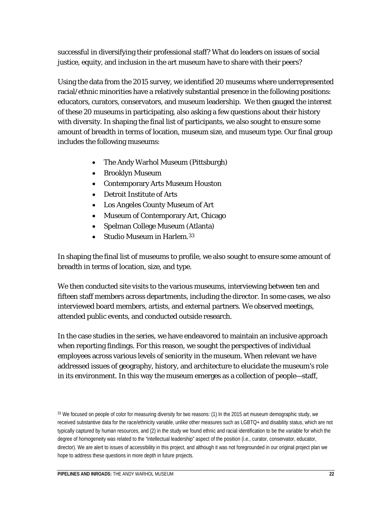successful in diversifying their professional staff? What do leaders on issues of social justice, equity, and inclusion in the art museum have to share with their peers?

Using the data from the 2015 survey, we identified 20 museums where underrepresented racial/ethnic minorities have a relatively substantial presence in the following positions: educators, curators, conservators, and museum leadership. We then gauged the interest of these 20 museums in participating, also asking a few questions about their history with diversity. In shaping the final list of participants, we also sought to ensure some amount of breadth in terms of location, museum size, and museum type. Our final group includes the following museums:

- The Andy Warhol Museum (Pittsburgh)
- Brooklyn Museum
- Contemporary Arts Museum Houston
- Detroit Institute of Arts
- Los Angeles County Museum of Art
- Museum of Contemporary Art, Chicago
- Spelman College Museum (Atlanta)
- Studio Museum in Harlem.[33](#page-22-0)

In shaping the final list of museums to profile, we also sought to ensure some amount of breadth in terms of location, size, and type.

We then conducted site visits to the various museums, interviewing between ten and fifteen staff members across departments, including the director. In some cases, we also interviewed board members, artists, and external partners. We observed meetings, attended public events, and conducted outside research.

In the case studies in the series, we have endeavored to maintain an inclusive approach when reporting findings. For this reason, we sought the perspectives of individual employees across various levels of seniority in the museum. When relevant we have addressed issues of geography, history, and architecture to elucidate the museum's role in its environment. In this way the museum emerges as a collection of people—staff,

<span id="page-22-0"></span><sup>33</sup> We focused on people of color for measuring diversity for two reasons: (1) In the 2015 art museum demographic study, we received substantive data for the race/ethnicity variable, unlike other measures such as LGBTQ+ and disability status, which are not typically captured by human resources, and (2) in the study we found ethnic and racial identification to be the variable for which the degree of homogeneity was related to the "intellectual leadership" aspect of the position (i.e., curator, conservator, educator, director). We are alert to issues of accessibility in this project, and although it was not foregrounded in our original project plan we hope to address these questions in more depth in future projects.